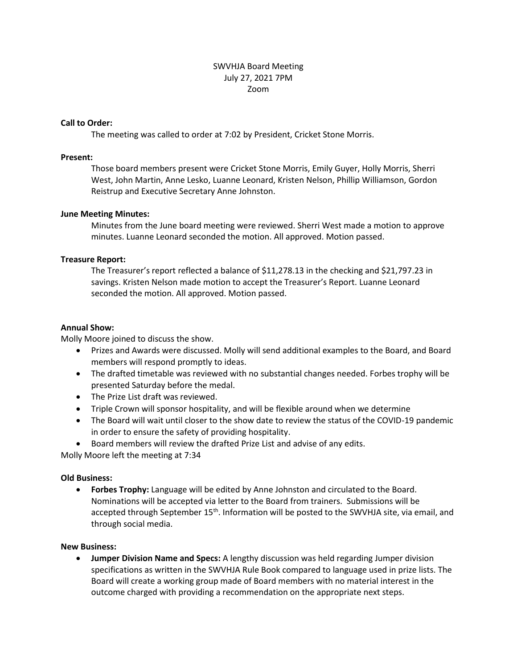# SWVHJA Board Meeting July 27, 2021 7PM Zoom

### **Call to Order:**

The meeting was called to order at 7:02 by President, Cricket Stone Morris.

#### **Present:**

Those board members present were Cricket Stone Morris, Emily Guyer, Holly Morris, Sherri West, John Martin, Anne Lesko, Luanne Leonard, Kristen Nelson, Phillip Williamson, Gordon Reistrup and Executive Secretary Anne Johnston.

### **June Meeting Minutes:**

Minutes from the June board meeting were reviewed. Sherri West made a motion to approve minutes. Luanne Leonard seconded the motion. All approved. Motion passed.

### **Treasure Report:**

The Treasurer's report reflected a balance of \$11,278.13 in the checking and \$21,797.23 in savings. Kristen Nelson made motion to accept the Treasurer's Report. Luanne Leonard seconded the motion. All approved. Motion passed.

### **Annual Show:**

Molly Moore joined to discuss the show.

- Prizes and Awards were discussed. Molly will send additional examples to the Board, and Board members will respond promptly to ideas.
- The drafted timetable was reviewed with no substantial changes needed. Forbes trophy will be presented Saturday before the medal.
- The Prize List draft was reviewed.
- Triple Crown will sponsor hospitality, and will be flexible around when we determine
- The Board will wait until closer to the show date to review the status of the COVID-19 pandemic in order to ensure the safety of providing hospitality.
- Board members will review the drafted Prize List and advise of any edits.

Molly Moore left the meeting at 7:34

# **Old Business:**

 **Forbes Trophy:** Language will be edited by Anne Johnston and circulated to the Board. Nominations will be accepted via letter to the Board from trainers. Submissions will be accepted through September 15<sup>th</sup>. Information will be posted to the SWVHJA site, via email, and through social media.

#### **New Business:**

 **Jumper Division Name and Specs:** A lengthy discussion was held regarding Jumper division specifications as written in the SWVHJA Rule Book compared to language used in prize lists. The Board will create a working group made of Board members with no material interest in the outcome charged with providing a recommendation on the appropriate next steps.